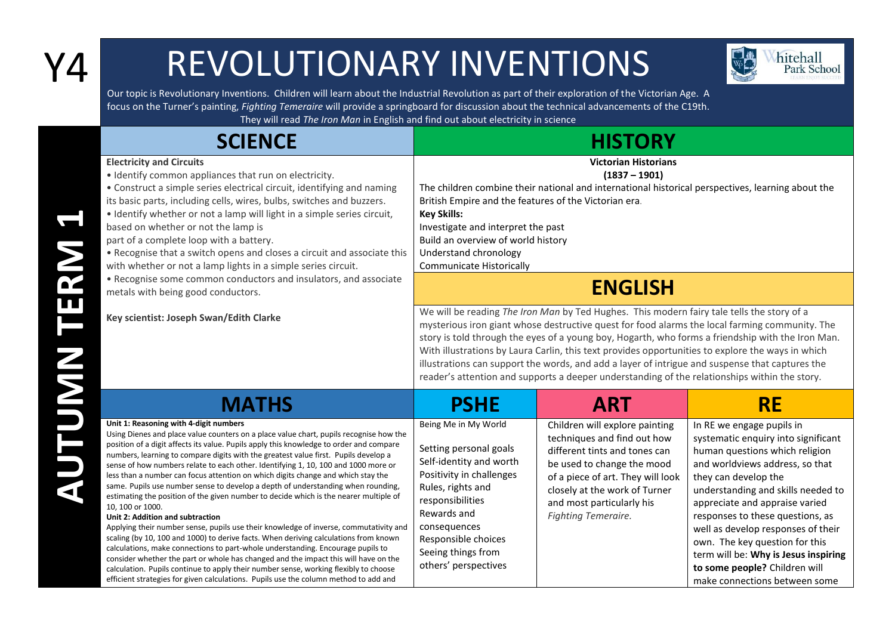## Y4 REVOLUTIONARY INVENTIONS



Our topic is Revolutionary Inventions. Children will learn about the Industrial Revolution as part of their exploration of the Victorian Age. A focus on the Turner's painting, *Fighting Temeraire* will provide a springboard for discussion about the technical advancements of the C19th. They will read *The Iron Man* in English and find out about electricity in science

**SCIENCE HISTORY Electricity and Circuits** • Identify common appliances that run on electricity. • Construct a simple series electrical circuit, identifying and naming its basic parts, including cells, wires, bulbs, switches and buzzers. • Identify whether or not a lamp will light in a simple series circuit, based on whether or not the lamp is part of a complete loop with a battery. • Recognise that a switch opens and closes a circuit and associate this with whether or not a lamp lights in a simple series circuit. • Recognise some common conductors and insulators, and associate metals with being good conductors. **Key scientist: Joseph Swan/Edith Clarke Victorian Historians (1837 – 1901)** The children combine their national and international historical perspectives, learning about the British Empire and the features of the Victorian era. **Key Skills:** Investigate and interpret the past Build an overview of world history Understand chronology Communicate Historically **ENGLISH** We will be reading *The Iron Man* by Ted Hughes. This modern fairy tale tells the story of a mysterious iron giant whose destructive quest for food alarms the local farming community. The story is told through the eyes of a young boy, Hogarth, who forms a friendship with the Iron Man. With illustrations by Laura Carlin, this text provides opportunities to explore the ways in which illustrations can support the words, and add a layer of intrigue and suspense that captures the reader's attention and supports a deeper understanding of the relationships within the story. **MATHS PSHE ART RE Unit 1: Reasoning with 4-digit numbers** Using Dienes and place value counters on a place value chart, pupils recognise how the position of a digit affects its value. Pupils apply this knowledge to order and compare numbers, learning to compare digits with the greatest value first. Pupils develop a sense of how numbers relate to each other. Identifying 1, 10, 100 and 1000 more or less than a number can focus attention on which digits change and which stay the same. Pupils use number sense to develop a depth of understanding when rounding, estimating the position of the given number to decide which is the nearer multiple of 10, 100 or 1000. **Unit 2: Addition and subtraction** Applying their number sense, pupils use their knowledge of inverse, commutativity and scaling (by 10, 100 and 1000) to derive facts. When deriving calculations from known calculations, make connections to part-whole understanding. Encourage pupils to consider whether the part or whole has changed and the impact this will have on the calculation. Pupils continue to apply their number sense, working flexibly to choose efficient strategies for given calculations. Pupils use the column method to add and Being Me in My World Setting personal goals Self-identity and worth Positivity in challenges Rules, rights and responsibilities Rewards and consequences Responsible choices Seeing things from others' perspectives Children will explore painting techniques and find out how different tints and tones can be used to change the mood of a piece of art. They will look closely at the work of Turner and most particularly his *Fighting Temeraire.* In RE we engage pupils in systematic enquiry into significant human questions which religion and worldviews address, so that they can develop the understanding and skills needed to appreciate and appraise varied responses to these questions, as well as develop responses of their own. The key question for this term will be: **Why is Jesus inspiring to some people?** Children will make connections between some